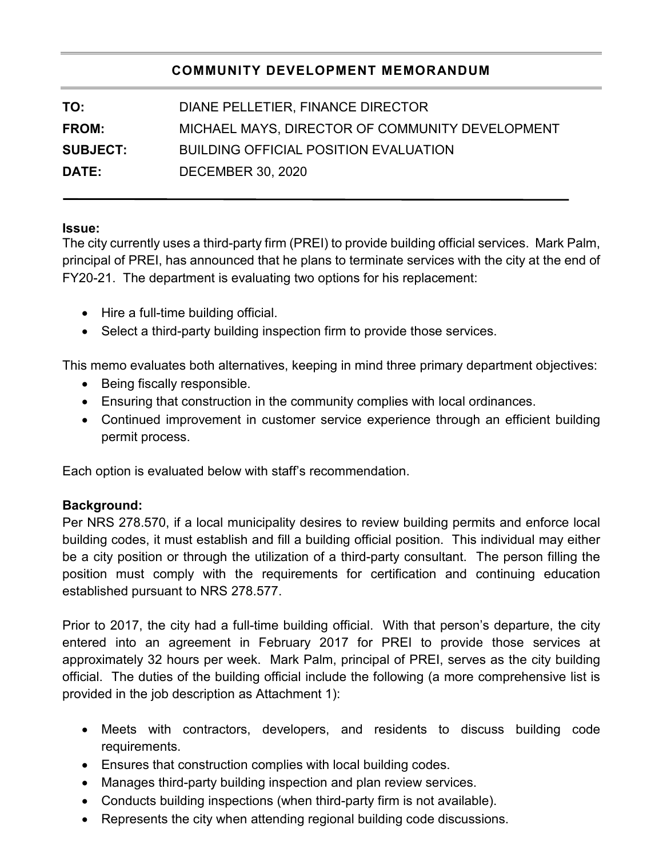# **COMMUNITY DEVELOPMENT MEMORANDUM**

| DIANE PELLETIER, FINANCE DIRECTOR               |
|-------------------------------------------------|
| MICHAEL MAYS, DIRECTOR OF COMMUNITY DEVELOPMENT |
| <b>BUILDING OFFICIAL POSITION EVALUATION</b>    |
| <b>DECEMBER 30, 2020</b>                        |
|                                                 |

### **Issue:**

The city currently uses a third-party firm (PREI) to provide building official services. Mark Palm, principal of PREI, has announced that he plans to terminate services with the city at the end of FY20-21. The department is evaluating two options for his replacement:

- Hire a full-time building official.
- Select a third-party building inspection firm to provide those services.

This memo evaluates both alternatives, keeping in mind three primary department objectives:

- Being fiscally responsible.
- Ensuring that construction in the community complies with local ordinances.
- Continued improvement in customer service experience through an efficient building permit process.

Each option is evaluated below with staff's recommendation.

## **Background:**

Per NRS 278.570, if a local municipality desires to review building permits and enforce local building codes, it must establish and fill a building official position. This individual may either be a city position or through the utilization of a third-party consultant. The person filling the position must comply with the requirements for certification and continuing education established pursuant to NRS 278.577.

Prior to 2017, the city had a full-time building official. With that person's departure, the city entered into an agreement in February 2017 for PREI to provide those services at approximately 32 hours per week. Mark Palm, principal of PREI, serves as the city building official. The duties of the building official include the following (a more comprehensive list is provided in the job description as Attachment 1):

- Meets with contractors, developers, and residents to discuss building code requirements.
- Ensures that construction complies with local building codes.
- Manages third-party building inspection and plan review services.
- Conducts building inspections (when third-party firm is not available).
- Represents the city when attending regional building code discussions.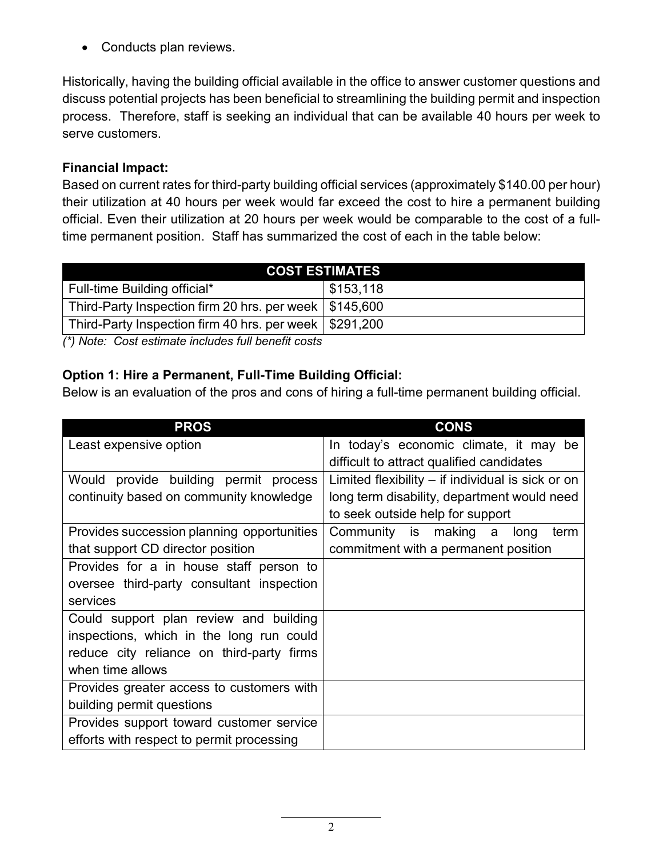• Conducts plan reviews.

Historically, having the building official available in the office to answer customer questions and discuss potential projects has been beneficial to streamlining the building permit and inspection process. Therefore, staff is seeking an individual that can be available 40 hours per week to serve customers.

# **Financial Impact:**

Based on current rates for third-party building official services (approximately \$140.00 per hour) their utilization at 40 hours per week would far exceed the cost to hire a permanent building official. Even their utilization at 20 hours per week would be comparable to the cost of a fulltime permanent position. Staff has summarized the cost of each in the table below:

| <b>COST ESTIMATES</b>                                    |           |  |
|----------------------------------------------------------|-----------|--|
| Full-time Building official*                             | \$153,118 |  |
| Third-Party Inspection firm 20 hrs. per week   \$145,600 |           |  |
| Third-Party Inspection firm 40 hrs. per week   \$291,200 |           |  |

*(\*) Note: Cost estimate includes full benefit costs*

# **Option 1: Hire a Permanent, Full-Time Building Official:**

Below is an evaluation of the pros and cons of hiring a full-time permanent building official.

| <b>PROS</b>                                | <b>CONS</b>                                         |
|--------------------------------------------|-----------------------------------------------------|
| Least expensive option                     | In today's economic climate, it may be              |
|                                            | difficult to attract qualified candidates           |
| Would provide building permit process      | Limited flexibility $-$ if individual is sick or on |
| continuity based on community knowledge    | long term disability, department would need         |
|                                            | to seek outside help for support                    |
| Provides succession planning opportunities | Community is making a<br>long<br>term               |
| that support CD director position          | commitment with a permanent position                |
| Provides for a in house staff person to    |                                                     |
| oversee third-party consultant inspection  |                                                     |
| services                                   |                                                     |
| Could support plan review and building     |                                                     |
| inspections, which in the long run could   |                                                     |
| reduce city reliance on third-party firms  |                                                     |
| when time allows                           |                                                     |
| Provides greater access to customers with  |                                                     |
| building permit questions                  |                                                     |
| Provides support toward customer service   |                                                     |
| efforts with respect to permit processing  |                                                     |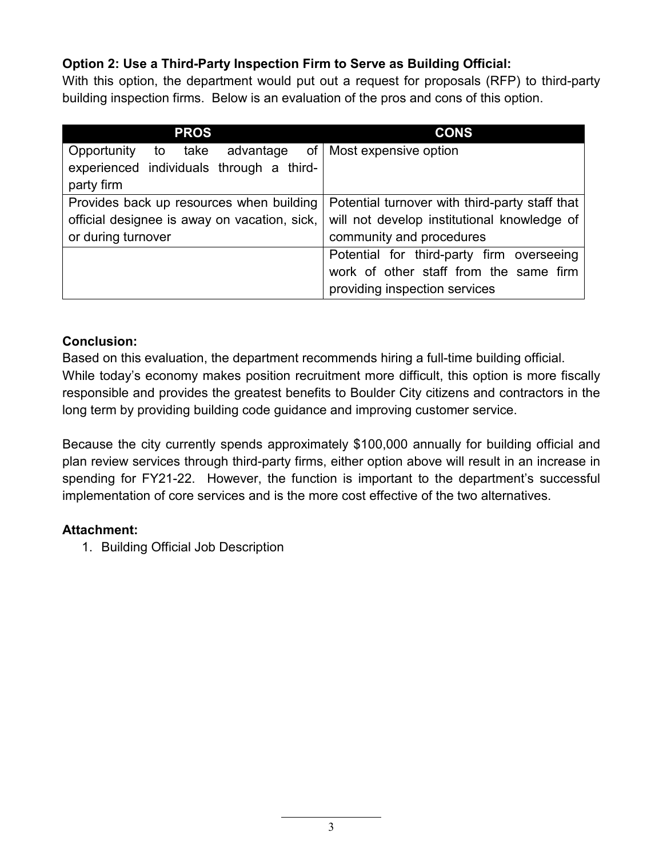# **Option 2: Use a Third-Party Inspection Firm to Serve as Building Official:**

With this option, the department would put out a request for proposals (RFP) to third-party building inspection firms. Below is an evaluation of the pros and cons of this option.

| <b>PROS</b>                                            | <b>CONS</b>                                    |
|--------------------------------------------------------|------------------------------------------------|
| Opportunity to take advantage of Most expensive option |                                                |
| experienced individuals through a third-               |                                                |
| party firm                                             |                                                |
| Provides back up resources when building               | Potential turnover with third-party staff that |
| official designee is away on vacation, sick,           | will not develop institutional knowledge of    |
| or during turnover                                     | community and procedures                       |
|                                                        | Potential for third-party firm overseeing      |
|                                                        | work of other staff from the same firm         |
|                                                        | providing inspection services                  |

## **Conclusion:**

Based on this evaluation, the department recommends hiring a full-time building official. While today's economy makes position recruitment more difficult, this option is more fiscally responsible and provides the greatest benefits to Boulder City citizens and contractors in the long term by providing building code guidance and improving customer service.

Because the city currently spends approximately \$100,000 annually for building official and plan review services through third-party firms, either option above will result in an increase in spending for FY21-22. However, the function is important to the department's successful implementation of core services and is the more cost effective of the two alternatives.

## **Attachment:**

1. Building Official Job Description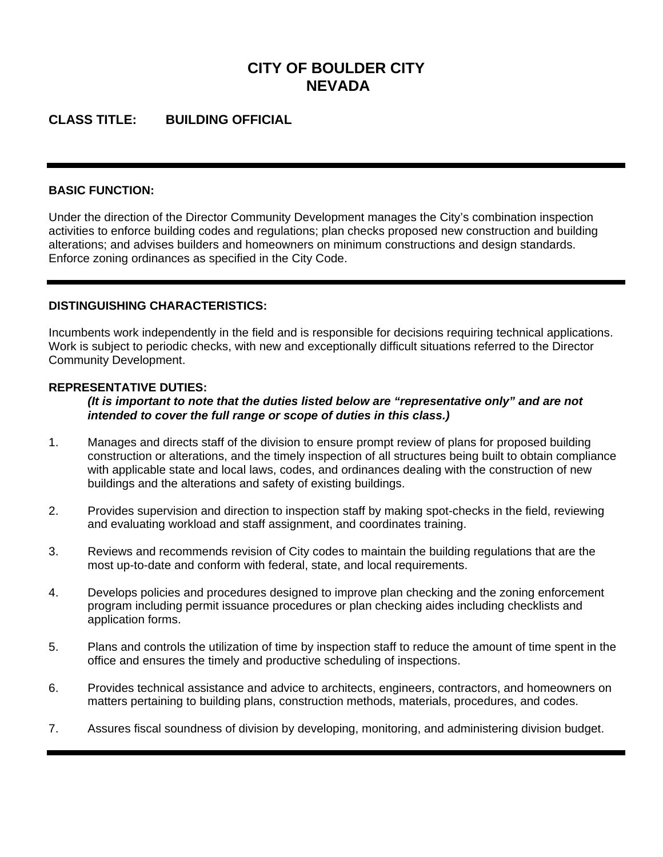# **CITY OF BOULDER CITY NEVADA**

## **CLASS TITLE: BUILDING OFFICIAL**

#### **BASIC FUNCTION:**

Under the direction of the Director Community Development manages the City's combination inspection activities to enforce building codes and regulations; plan checks proposed new construction and building alterations; and advises builders and homeowners on minimum constructions and design standards. Enforce zoning ordinances as specified in the City Code.

#### **DISTINGUISHING CHARACTERISTICS:**

Incumbents work independently in the field and is responsible for decisions requiring technical applications. Work is subject to periodic checks, with new and exceptionally difficult situations referred to the Director Community Development.

#### **REPRESENTATIVE DUTIES:**

*(It is important to note that the duties listed below are "representative only" and are not intended to cover the full range or scope of duties in this class.)* 

- 1. Manages and directs staff of the division to ensure prompt review of plans for proposed building construction or alterations, and the timely inspection of all structures being built to obtain compliance with applicable state and local laws, codes, and ordinances dealing with the construction of new buildings and the alterations and safety of existing buildings.
- 2. Provides supervision and direction to inspection staff by making spot-checks in the field, reviewing and evaluating workload and staff assignment, and coordinates training.
- 3. Reviews and recommends revision of City codes to maintain the building regulations that are the most up-to-date and conform with federal, state, and local requirements.
- 4. Develops policies and procedures designed to improve plan checking and the zoning enforcement program including permit issuance procedures or plan checking aides including checklists and application forms.
- 5. Plans and controls the utilization of time by inspection staff to reduce the amount of time spent in the office and ensures the timely and productive scheduling of inspections.
- 6. Provides technical assistance and advice to architects, engineers, contractors, and homeowners on matters pertaining to building plans, construction methods, materials, procedures, and codes.
- 7. Assures fiscal soundness of division by developing, monitoring, and administering division budget.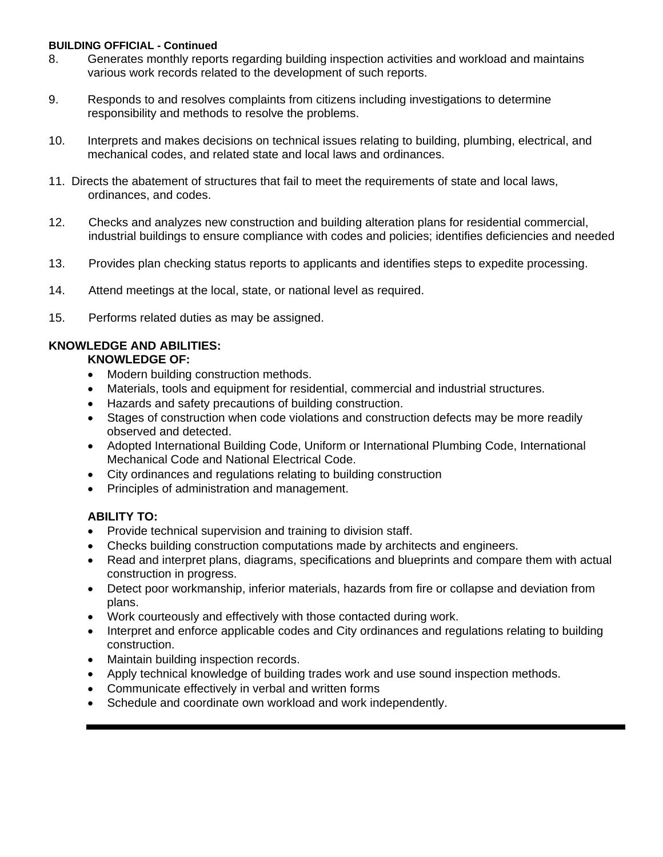#### **BUILDING OFFICIAL - Continued**

- 8. Generates monthly reports regarding building inspection activities and workload and maintains various work records related to the development of such reports.
- 9. Responds to and resolves complaints from citizens including investigations to determine responsibility and methods to resolve the problems.
- 10. Interprets and makes decisions on technical issues relating to building, plumbing, electrical, and mechanical codes, and related state and local laws and ordinances.
- 11. Directs the abatement of structures that fail to meet the requirements of state and local laws, ordinances, and codes.
- 12. Checks and analyzes new construction and building alteration plans for residential commercial, industrial buildings to ensure compliance with codes and policies; identifies deficiencies and needed
- 13. Provides plan checking status reports to applicants and identifies steps to expedite processing.
- 14. Attend meetings at the local, state, or national level as required.
- 15. Performs related duties as may be assigned.

### **KNOWLEDGE AND ABILITIES:**

### **KNOWLEDGE OF:**

- Modern building construction methods.
- Materials, tools and equipment for residential, commercial and industrial structures.
- Hazards and safety precautions of building construction.
- Stages of construction when code violations and construction defects may be more readily observed and detected.
- Adopted International Building Code, Uniform or International Plumbing Code, International Mechanical Code and National Electrical Code.
- City ordinances and regulations relating to building construction
- Principles of administration and management.

### **ABILITY TO:**

- Provide technical supervision and training to division staff.
- Checks building construction computations made by architects and engineers.
- Read and interpret plans, diagrams, specifications and blueprints and compare them with actual construction in progress.
- Detect poor workmanship, inferior materials, hazards from fire or collapse and deviation from plans.
- Work courteously and effectively with those contacted during work.
- Interpret and enforce applicable codes and City ordinances and regulations relating to building construction.
- Maintain building inspection records.
- Apply technical knowledge of building trades work and use sound inspection methods.
- Communicate effectively in verbal and written forms
- Schedule and coordinate own workload and work independently.